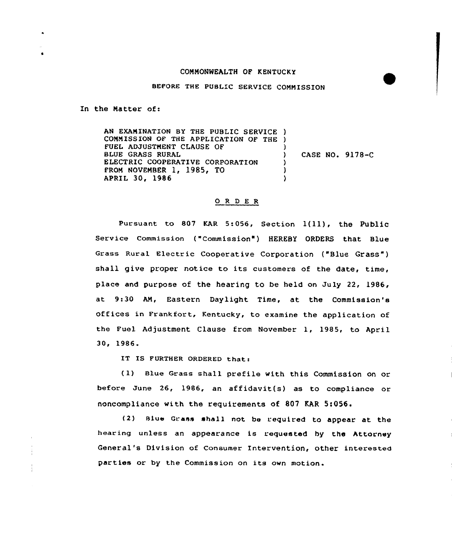## COMMONWEALTH OF KENTUCKY

BEFORE THE PUBLIC SERVICE COMMISSION

In the Natter of:

AN EXANINATION BY THE PUBLIC SERVICE ) CONNISSION OF THE APPLICATION OF THE ) FUEL ADJUSTNENT CLAUSE OF ) BLUE GRASS RURAL CASE NO. 9178-C λ ELECTRIC COOPERATIVE CORPORATION ) FRON NOVENSER 1, 1985, TO ) APRIL 30, 1986 ١

## O R D E R

Pursuant to <sup>807</sup> KAR 5:056, Section 1(ll), the Public Service commission ( "Commission" ) HEREBY ORDERS that Blue Grass Rural Electric Cooperative Corporation ("Slue Grass" ) shall give proper notice to its customers of the date, time, place and purpose of the hearing to be held on July 22, 1986, at 9:30 AN, Eastern Daylight Time, at the Commission's offices in Frankfort, Kentucky, to examine the application of the Fuel Adjustment Clause from November 1, 1985, to April 30, 1986.

IT IS FURTHER ORDERED that:

( 1) Blue Grass shall prefile with this Commission on or before June 26, 1986, an affidavit(s) as to compliance or noncompliance with the requirements of 807 KAR 5:056.

(2) Blue Grass shall not be required to appear at the hearing unless an appearance is requested hy the Attorney General's Division of Consumer Intervention, other interested parties or by the Commission on its own motion.